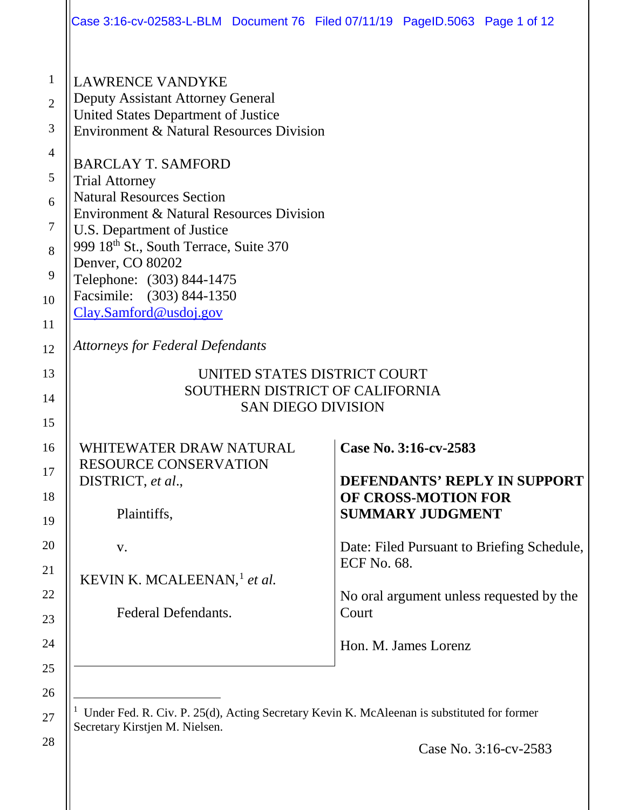|                                                                                      | Case 3:16-cv-02583-L-BLM Document 76 Filed 07/11/19 PageID.5063 Page 1 of 12                                                                                                                                                                                                                                                                                                                                                                                                                   |                             |                                                                                                 |                                                                                                                        |  |
|--------------------------------------------------------------------------------------|------------------------------------------------------------------------------------------------------------------------------------------------------------------------------------------------------------------------------------------------------------------------------------------------------------------------------------------------------------------------------------------------------------------------------------------------------------------------------------------------|-----------------------------|-------------------------------------------------------------------------------------------------|------------------------------------------------------------------------------------------------------------------------|--|
| $\mathbf{1}$<br>$\overline{2}$<br>3<br>$\overline{4}$<br>5<br>6<br>7<br>8<br>9<br>10 | <b>LAWRENCE VANDYKE</b><br><b>Deputy Assistant Attorney General</b><br><b>United States Department of Justice</b><br><b>Environment &amp; Natural Resources Division</b><br><b>BARCLAY T. SAMFORD</b><br><b>Trial Attorney</b><br><b>Natural Resources Section</b><br>Environment & Natural Resources Division<br>U.S. Department of Justice<br>999 18th St., South Terrace, Suite 370<br>Denver, CO 80202<br>Telephone: (303) 844-1475<br>Facsimile: (303) 844-1350<br>Clay.Samford@usdoj.gov |                             |                                                                                                 |                                                                                                                        |  |
| 11<br>12                                                                             | <b>Attorneys for Federal Defendants</b>                                                                                                                                                                                                                                                                                                                                                                                                                                                        |                             |                                                                                                 |                                                                                                                        |  |
| 13                                                                                   | UNITED STATES DISTRICT COURT                                                                                                                                                                                                                                                                                                                                                                                                                                                                   |                             |                                                                                                 |                                                                                                                        |  |
| 14<br>15                                                                             | SOUTHERN DISTRICT OF CALIFORNIA<br><b>SAN DIEGO DIVISION</b>                                                                                                                                                                                                                                                                                                                                                                                                                                   |                             |                                                                                                 |                                                                                                                        |  |
| 16<br>17<br>18<br>19<br>20<br>21<br>22<br>23<br>24<br>25                             | WHITEWATER DRAW NATURAL<br><b>RESOURCE CONSERVATION</b><br>DISTRICT, et al.,<br>Plaintiffs,<br>V.<br>KEVIN K. MCALEENAN, <sup>1</sup> et al.<br>Federal Defendants.                                                                                                                                                                                                                                                                                                                            | <b>ECF No. 68.</b><br>Court | Case No. 3:16-cv-2583<br>OF CROSS-MOTION FOR<br><b>SUMMARY JUDGMENT</b><br>Hon. M. James Lorenz | DEFENDANTS' REPLY IN SUPPORT<br>Date: Filed Pursuant to Briefing Schedule,<br>No oral argument unless requested by the |  |
| 26                                                                                   | <sup>1</sup> Under Fed R Civ P 25(d) Acting Secretary Kevin K McAleenan is substituted for former                                                                                                                                                                                                                                                                                                                                                                                              |                             |                                                                                                 |                                                                                                                        |  |

 Under Fed. R. Civ. P. 25(d), Acting Secretary Kevin K. McAleenan is substituted for former Secretary Kirstjen M. Nielsen.

<span id="page-0-0"></span>27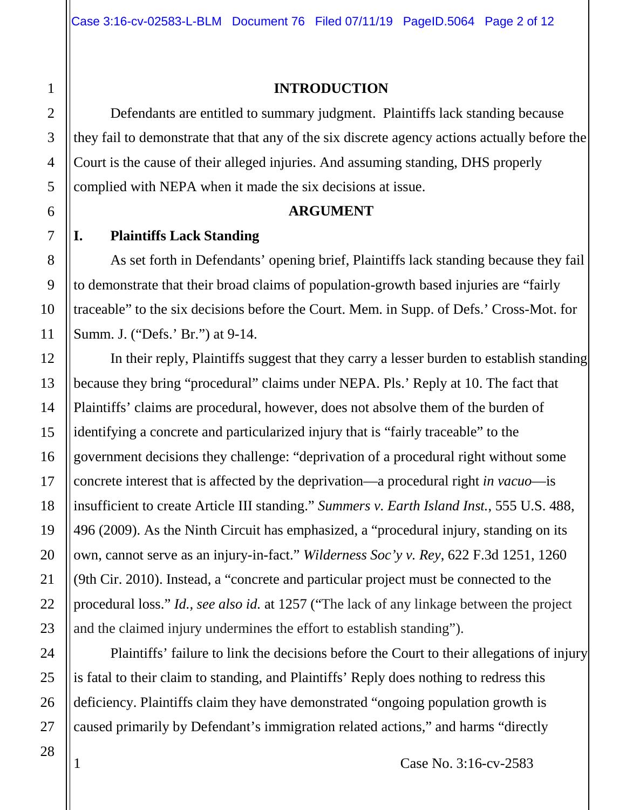#### **INTRODUCTION**

Defendants are entitled to summary judgment. Plaintiffs lack standing because they fail to demonstrate that that any of the six discrete agency actions actually before the Court is the cause of their alleged injuries. And assuming standing, DHS properly complied with NEPA when it made the six decisions at issue.

#### **ARGUMENT**

### **I. Plaintiffs Lack Standing**

As set forth in Defendants' opening brief, Plaintiffs lack standing because they fail to demonstrate that their broad claims of population-growth based injuries are "fairly traceable" to the six decisions before the Court. Mem. in Supp. of Defs.' Cross-Mot. for Summ. J. ("Defs.' Br.") at 9-14.

In their reply, Plaintiffs suggest that they carry a lesser burden to establish standing because they bring "procedural" claims under NEPA. Pls.' Reply at 10. The fact that Plaintiffs' claims are procedural, however, does not absolve them of the burden of identifying a concrete and particularized injury that is "fairly traceable" to the government decisions they challenge: "deprivation of a procedural right without some concrete interest that is affected by the deprivation—a procedural right *in vacuo*—is insufficient to create Article III standing." *Summers v. Earth Island Inst.*, 555 U.S. 488, 496 (2009). As the Ninth Circuit has emphasized, a "procedural injury, standing on its own, cannot serve as an injury-in-fact." *Wilderness Soc'y v. Rey*, 622 F.3d 1251, 1260 (9th Cir. 2010). Instead, a "concrete and particular project must be connected to the procedural loss." *Id., see also id.* at 1257 ("The lack of any linkage between the project and the claimed injury undermines the effort to establish standing").

Plaintiffs' failure to link the decisions before the Court to their allegations of injury is fatal to their claim to standing, and Plaintiffs' Reply does nothing to redress this deficiency. Plaintiffs claim they have demonstrated "ongoing population growth is caused primarily by Defendant's immigration related actions," and harms "directly

1

2

3

4

5

6

7

8

9

10

11

12

13

14

15

16

17

18

19

20

21

22

23

24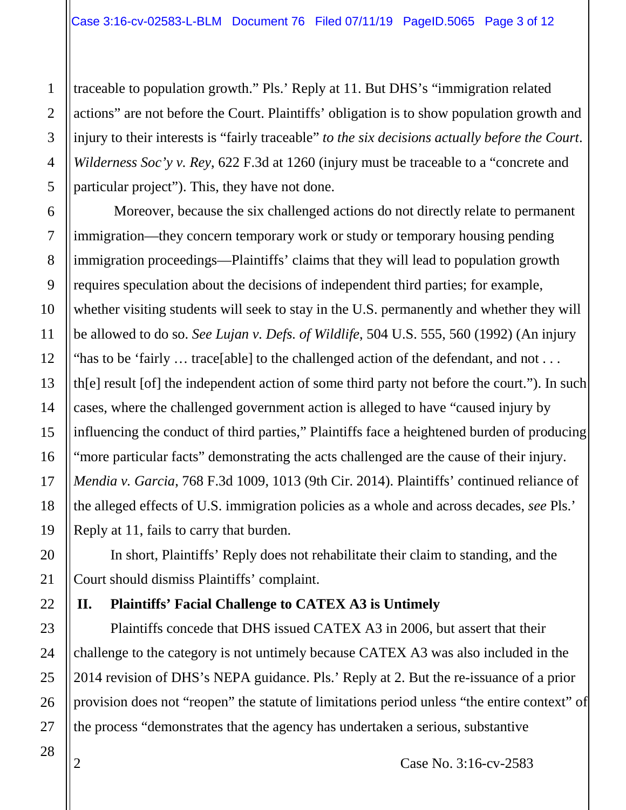traceable to population growth." Pls.' Reply at 11. But DHS's "immigration related actions" are not before the Court. Plaintiffs' obligation is to show population growth and injury to their interests is "fairly traceable" *to the six decisions actually before the Court*. *Wilderness Soc'y v. Rey*, 622 F.3d at 1260 (injury must be traceable to a "concrete and particular project"). This, they have not done.

Moreover, because the six challenged actions do not directly relate to permanent immigration—they concern temporary work or study or temporary housing pending immigration proceedings—Plaintiffs' claims that they will lead to population growth requires speculation about the decisions of independent third parties; for example, whether visiting students will seek to stay in the U.S. permanently and whether they will be allowed to do so. *See Lujan v. Defs. of Wildlife*, 504 U.S. 555, 560 (1992) (An injury "has to be 'fairly … trace[able] to the challenged action of the defendant, and not . . . th[e] result [of] the independent action of some third party not before the court."). In such cases, where the challenged government action is alleged to have "caused injury by influencing the conduct of third parties," Plaintiffs face a heightened burden of producing "more particular facts" demonstrating the acts challenged are the cause of their injury. *Mendia v. Garcia*, 768 F.3d 1009, 1013 (9th Cir. 2014). Plaintiffs' continued reliance of the alleged effects of U.S. immigration policies as a whole and across decades, *see* Pls.' Reply at 11, fails to carry that burden.

In short, Plaintiffs' Reply does not rehabilitate their claim to standing, and the Court should dismiss Plaintiffs' complaint.

### **II. Plaintiffs' Facial Challenge to CATEX A3 is Untimely**

Plaintiffs concede that DHS issued CATEX A3 in 2006, but assert that their challenge to the category is not untimely because CATEX A3 was also included in the 2014 revision of DHS's NEPA guidance. Pls.' Reply at 2. But the re-issuance of a prior provision does not "reopen" the statute of limitations period unless "the entire context" of the process "demonstrates that the agency has undertaken a serious, substantive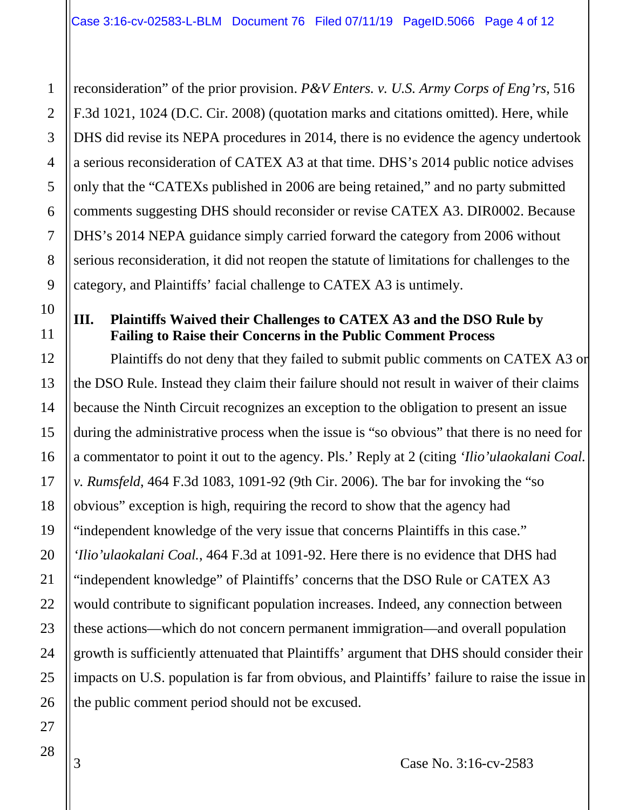reconsideration" of the prior provision. *P&V Enters. v. U.S. Army Corps of Eng'rs*, 516 F.3d 1021, 1024 (D.C. Cir. 2008) (quotation marks and citations omitted). Here, while DHS did revise its NEPA procedures in 2014, there is no evidence the agency undertook a serious reconsideration of CATEX A3 at that time. DHS's 2014 public notice advises only that the "CATEXs published in 2006 are being retained," and no party submitted comments suggesting DHS should reconsider or revise CATEX A3. DIR0002. Because DHS's 2014 NEPA guidance simply carried forward the category from 2006 without serious reconsideration, it did not reopen the statute of limitations for challenges to the category, and Plaintiffs' facial challenge to CATEX A3 is untimely.

### **III. Plaintiffs Waived their Challenges to CATEX A3 and the DSO Rule by Failing to Raise their Concerns in the Public Comment Process**

Plaintiffs do not deny that they failed to submit public comments on CATEX A3 or the DSO Rule. Instead they claim their failure should not result in waiver of their claims because the Ninth Circuit recognizes an exception to the obligation to present an issue during the administrative process when the issue is "so obvious" that there is no need for a commentator to point it out to the agency. Pls.' Reply at 2 (citing *'Ilio'ulaokalani Coal. v. Rumsfeld*, 464 F.3d 1083, 1091-92 (9th Cir. 2006). The bar for invoking the "so obvious" exception is high, requiring the record to show that the agency had "independent knowledge of the very issue that concerns Plaintiffs in this case." *'Ilio'ulaokalani Coal.*, 464 F.3d at 1091-92. Here there is no evidence that DHS had "independent knowledge" of Plaintiffs' concerns that the DSO Rule or CATEX A3 would contribute to significant population increases. Indeed, any connection between these actions—which do not concern permanent immigration—and overall population growth is sufficiently attenuated that Plaintiffs' argument that DHS should consider their impacts on U.S. population is far from obvious, and Plaintiffs' failure to raise the issue in the public comment period should not be excused.

3 Case No. 3:16-cv-2583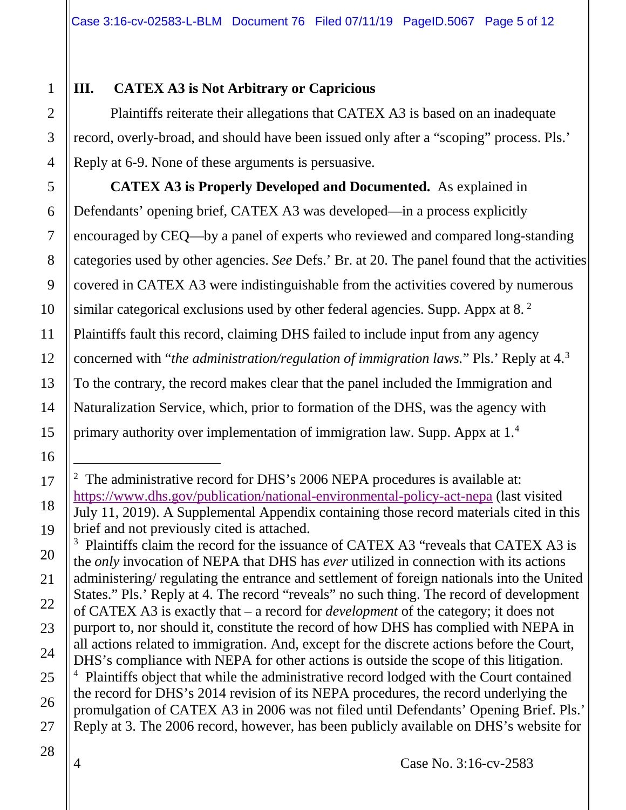# **III. CATEX A3 is Not Arbitrary or Capricious**

Plaintiffs reiterate their allegations that CATEX A3 is based on an inadequate record, overly-broad, and should have been issued only after a "scoping" process. Pls.' Reply at 6-9. None of these arguments is persuasive.

**CATEX A3 is Properly Developed and Documented.** As explained in Defendants' opening brief, CATEX A3 was developed—in a process explicitly encouraged by CEQ—by a panel of experts who reviewed and compared long-standing categories used by other agencies. *See* Defs.' Br. at 20. The panel found that the activities covered in CATEX A3 were indistinguishable from the activities covered by numerous similar categorical exclusions used by other federal agencies. Supp. Appx at 8.<sup>[2](#page-4-0)</sup> Plaintiffs fault this record, claiming DHS failed to include input from any agency concerned with "*the administration/regulation of immigration laws.*" Pls.' Reply at 4. [3](#page-4-1) To the contrary, the record makes clear that the panel included the Immigration and Naturalization Service, which, prior to formation of the DHS, was the agency with primary authority over implementation of immigration law. Supp. Appx at 1.[4](#page-4-2)

 $\overline{a}$ 

<span id="page-4-0"></span><sup>&</sup>lt;sup>2</sup> The administrative record for DHS's 2006 NEPA procedures is available at: <https://www.dhs.gov/publication/national-environmental-policy-act-nepa> (last visited July 11, 2019). A Supplemental Appendix containing those record materials cited in this brief and not previously cited is attached.

<span id="page-4-2"></span><span id="page-4-1"></span><sup>&</sup>lt;sup>3</sup> Plaintiffs claim the record for the issuance of CATEX A3 "reveals that CATEX A3 is the *only* invocation of NEPA that DHS has *ever* utilized in connection with its actions administering/ regulating the entrance and settlement of foreign nationals into the United States." Pls.' Reply at 4. The record "reveals" no such thing. The record of development of CATEX A3 is exactly that – a record for *development* of the category; it does not purport to, nor should it, constitute the record of how DHS has complied with NEPA in all actions related to immigration. And, except for the discrete actions before the Court, DHS's compliance with NEPA for other actions is outside the scope of this litigation. <sup>4</sup> Plaintiffs object that while the administrative record lodged with the Court contained the record for DHS's 2014 revision of its NEPA procedures, the record underlying the promulgation of CATEX A3 in 2006 was not filed until Defendants' Opening Brief. Pls.' Reply at 3. The 2006 record, however, has been publicly available on DHS's website for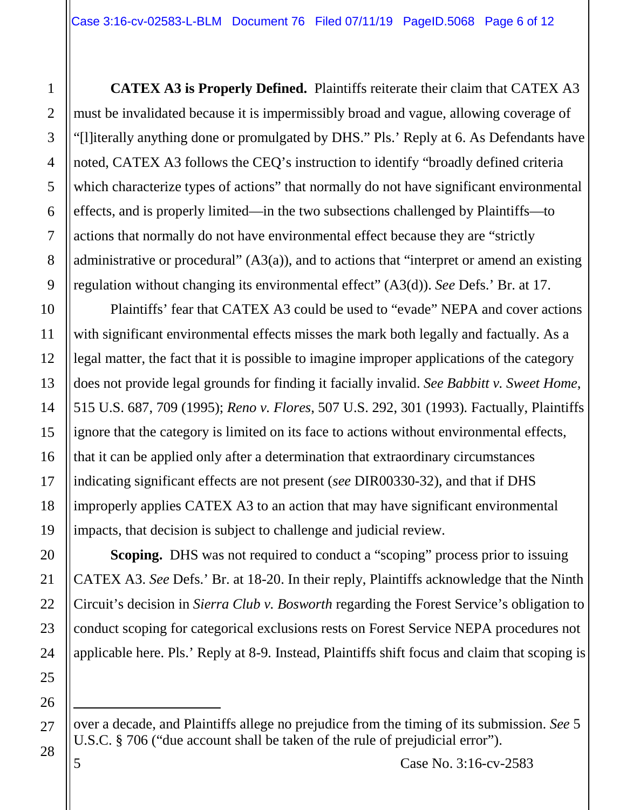**CATEX A3 is Properly Defined.** Plaintiffs reiterate their claim that CATEX A3 must be invalidated because it is impermissibly broad and vague, allowing coverage of "[l]iterally anything done or promulgated by DHS." Pls.' Reply at 6. As Defendants have noted, CATEX A3 follows the CEQ's instruction to identify "broadly defined criteria which characterize types of actions" that normally do not have significant environmental effects, and is properly limited—in the two subsections challenged by Plaintiffs—to actions that normally do not have environmental effect because they are "strictly administrative or procedural"  $(A3(a))$ , and to actions that "interpret or amend an existing regulation without changing its environmental effect" (A3(d)). *See* Defs.' Br. at 17.

Plaintiffs' fear that CATEX A3 could be used to "evade" NEPA and cover actions with significant environmental effects misses the mark both legally and factually. As a legal matter, the fact that it is possible to imagine improper applications of the category does not provide legal grounds for finding it facially invalid. *See Babbitt v. Sweet Home*, 515 U.S. 687, 709 (1995); *Reno v. Flores*, 507 U.S. 292, 301 (1993)*.* Factually, Plaintiffs ignore that the category is limited on its face to actions without environmental effects, that it can be applied only after a determination that extraordinary circumstances indicating significant effects are not present (*see* DIR00330-32), and that if DHS improperly applies CATEX A3 to an action that may have significant environmental impacts, that decision is subject to challenge and judicial review.

**Scoping.** DHS was not required to conduct a "scoping" process prior to issuing CATEX A3. *See* Defs.' Br. at 18-20. In their reply, Plaintiffs acknowledge that the Ninth Circuit's decision in *Sierra Club v. Bosworth* regarding the Forest Service's obligation to conduct scoping for categorical exclusions rests on Forest Service NEPA procedures not applicable here. Pls.' Reply at 8-9*.* Instead, Plaintiffs shift focus and claim that scoping is

over a decade, and Plaintiffs allege no prejudice from the timing of its submission. *See* 5 U.S.C. § 706 ("due account shall be taken of the rule of prejudicial error").

1

 $\overline{a}$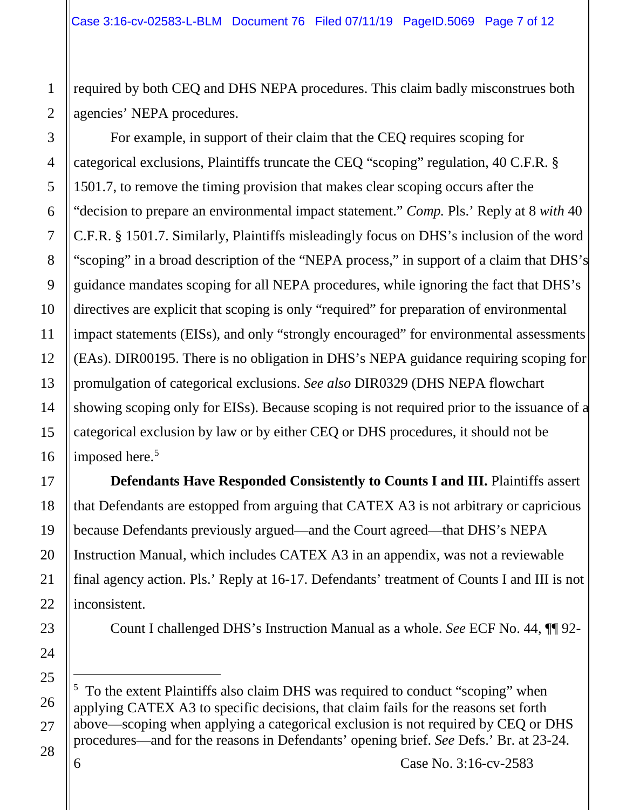required by both CEQ and DHS NEPA procedures. This claim badly misconstrues both agencies' NEPA procedures.

For example, in support of their claim that the CEQ requires scoping for categorical exclusions, Plaintiffs truncate the CEQ "scoping" regulation, 40 C.F.R. § 1501.7, to remove the timing provision that makes clear scoping occurs after the "decision to prepare an environmental impact statement." *Comp.* Pls.' Reply at 8 *with* 40 C.F.R. § 1501.7. Similarly, Plaintiffs misleadingly focus on DHS's inclusion of the word "scoping" in a broad description of the "NEPA process," in support of a claim that DHS's guidance mandates scoping for all NEPA procedures, while ignoring the fact that DHS's directives are explicit that scoping is only "required" for preparation of environmental impact statements (EISs), and only "strongly encouraged" for environmental assessments (EAs). DIR00195. There is no obligation in DHS's NEPA guidance requiring scoping for promulgation of categorical exclusions. *See also* DIR0329 (DHS NEPA flowchart showing scoping only for EISs). Because scoping is not required prior to the issuance of a categorical exclusion by law or by either CEQ or DHS procedures, it should not be imposed here.<sup>[5](#page-6-0)</sup>

**Defendants Have Responded Consistently to Counts I and III.** Plaintiffs assert that Defendants are estopped from arguing that CATEX A3 is not arbitrary or capricious because Defendants previously argued—and the Court agreed—that DHS's NEPA Instruction Manual, which includes CATEX A3 in an appendix, was not a reviewable final agency action. Pls.' Reply at 16-17. Defendants' treatment of Counts I and III is not inconsistent.

Count I challenged DHS's Instruction Manual as a whole. *See* ECF No. 44, ¶¶ 92-

<span id="page-6-0"></span> $\overline{a}$ <sup>5</sup> To the extent Plaintiffs also claim DHS was required to conduct "scoping" when applying CATEX A3 to specific decisions, that claim fails for the reasons set forth above—scoping when applying a categorical exclusion is not required by CEQ or DHS procedures—and for the reasons in Defendants' opening brief. *See* Defs.' Br. at 23-24.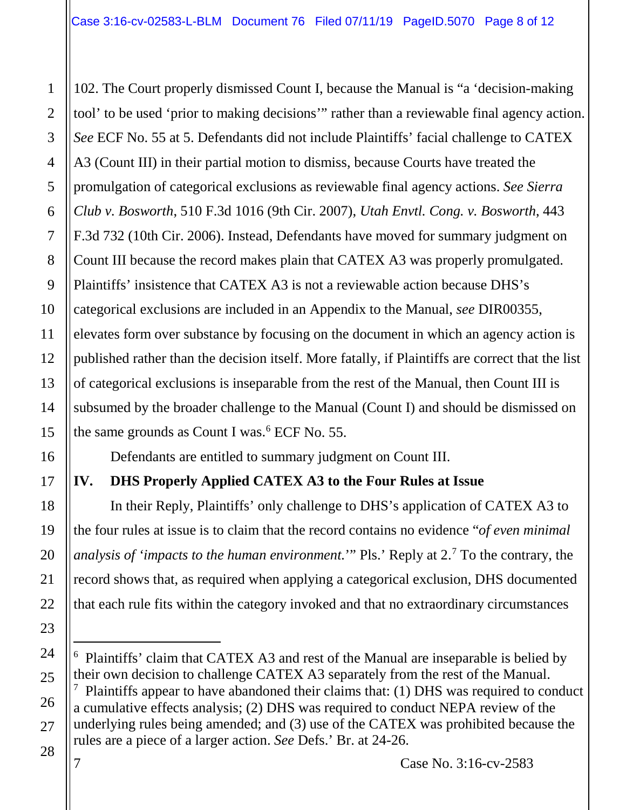102. The Court properly dismissed Count I, because the Manual is "a 'decision-making tool' to be used 'prior to making decisions'" rather than a reviewable final agency action. *See* ECF No. 55 at 5. Defendants did not include Plaintiffs' facial challenge to CATEX A3 (Count III) in their partial motion to dismiss, because Courts have treated the promulgation of categorical exclusions as reviewable final agency actions. *See Sierra Club v. Bosworth*, 510 F.3d 1016 (9th Cir. 2007), *Utah Envtl. Cong. v. Bosworth*, 443 F.3d 732 (10th Cir. 2006). Instead, Defendants have moved for summary judgment on Count III because the record makes plain that CATEX A3 was properly promulgated. Plaintiffs' insistence that CATEX A3 is not a reviewable action because DHS's categorical exclusions are included in an Appendix to the Manual, *see* DIR00355, elevates form over substance by focusing on the document in which an agency action is published rather than the decision itself. More fatally, if Plaintiffs are correct that the list of categorical exclusions is inseparable from the rest of the Manual, then Count III is subsumed by the broader challenge to the Manual (Count I) and should be dismissed on the same grounds as Count I was. [6](#page-7-0) ECF No. 55.

Defendants are entitled to summary judgment on Count III.

# **IV. DHS Properly Applied CATEX A3 to the Four Rules at Issue**

In their Reply, Plaintiffs' only challenge to DHS's application of CATEX A3 to the four rules at issue is to claim that the record contains no evidence "*of even minimal analysis of 'impacts to the human environment.*'" Pls.' Reply at 2.[7](#page-7-1) To the contrary, the record shows that, as required when applying a categorical exclusion, DHS documented that each rule fits within the category invoked and that no extraordinary circumstances

 $\overline{a}$ 

<span id="page-7-1"></span><span id="page-7-0"></span><sup>6</sup> Plaintiffs' claim that CATEX A3 and rest of the Manual are inseparable is belied by their own decision to challenge CATEX A3 separately from the rest of the Manual.  $7$  Plaintiffs appear to have abandoned their claims that: (1) DHS was required to conduct a cumulative effects analysis; (2) DHS was required to conduct NEPA review of the underlying rules being amended; and (3) use of the CATEX was prohibited because the rules are a piece of a larger action. *See* Defs.' Br. at 24-26.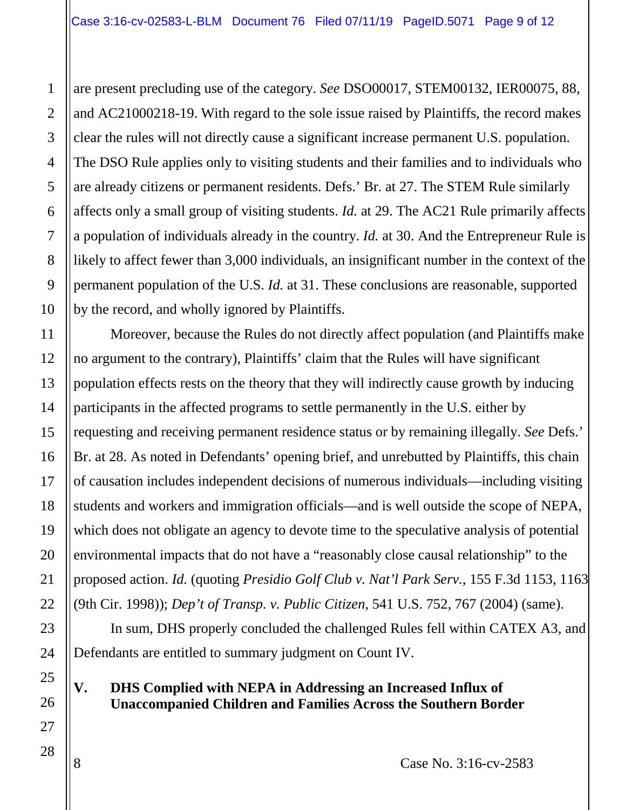are present precluding use of the category. *See* DSO00017, STEM00132, IER00075, 88, and AC21000218-19. With regard to the sole issue raised by Plaintiffs, the record makes clear the rules will not directly cause a significant increase permanent U.S. population. The DSO Rule applies only to visiting students and their families and to individuals who are already citizens or permanent residents. Defs.' Br. at 27. The STEM Rule similarly affects only a small group of visiting students. *Id.* at 29. The AC21 Rule primarily affects a population of individuals already in the country. *Id.* at 30. And the Entrepreneur Rule is likely to affect fewer than 3,000 individuals, an insignificant number in the context of the permanent population of the U.S. *Id.* at 31. These conclusions are reasonable, supported by the record, and wholly ignored by Plaintiffs.

Moreover, because the Rules do not directly affect population (and Plaintiffs make no argument to the contrary), Plaintiffs' claim that the Rules will have significant population effects rests on the theory that they will indirectly cause growth by inducing participants in the affected programs to settle permanently in the U.S. either by requesting and receiving permanent residence status or by remaining illegally. *See* Defs.' Br. at 28. As noted in Defendants' opening brief, and unrebutted by Plaintiffs, this chain of causation includes independent decisions of numerous individuals—including visiting students and workers and immigration officials—and is well outside the scope of NEPA, which does not obligate an agency to devote time to the speculative analysis of potential environmental impacts that do not have a "reasonably close causal relationship" to the proposed action. *Id.* (quoting *Presidio Golf Club v. Nat'l Park Serv.*, 155 F.3d 1153, 1163 (9th Cir. 1998)); *Dep't of Transp. v. Public Citizen,* 541 U.S. 752, 767 (2004) (same).

In sum, DHS properly concluded the challenged Rules fell within CATEX A3, and Defendants are entitled to summary judgment on Count IV.

## **V. DHS Complied with NEPA in Addressing an Increased Influx of Unaccompanied Children and Families Across the Southern Border**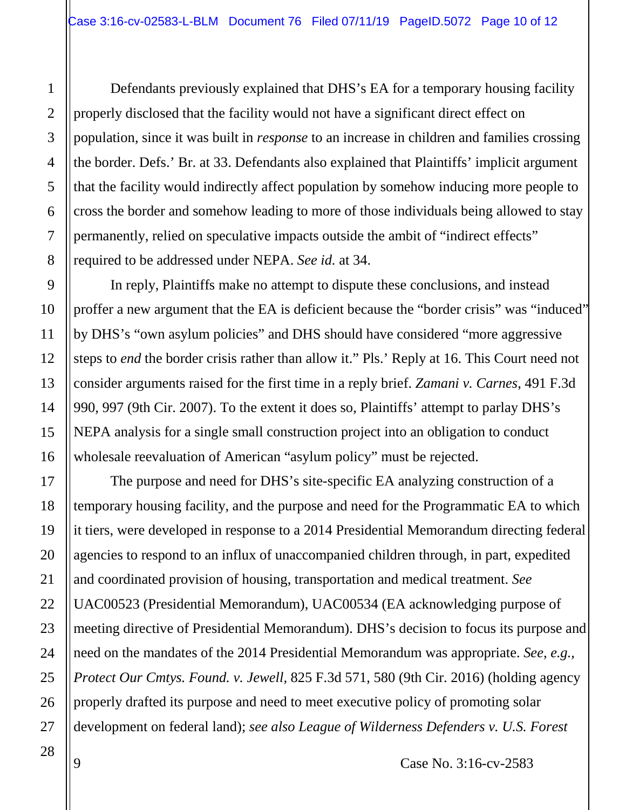Defendants previously explained that DHS's EA for a temporary housing facility properly disclosed that the facility would not have a significant direct effect on population, since it was built in *response* to an increase in children and families crossing the border. Defs.' Br. at 33. Defendants also explained that Plaintiffs' implicit argument that the facility would indirectly affect population by somehow inducing more people to cross the border and somehow leading to more of those individuals being allowed to stay permanently, relied on speculative impacts outside the ambit of "indirect effects" required to be addressed under NEPA. *See id.* at 34.

In reply, Plaintiffs make no attempt to dispute these conclusions, and instead proffer a new argument that the EA is deficient because the "border crisis" was "induced" by DHS's "own asylum policies" and DHS should have considered "more aggressive steps to *end* the border crisis rather than allow it." Pls.' Reply at 16. This Court need not consider arguments raised for the first time in a reply brief. *Zamani v. Carnes*, 491 F.3d 990, 997 (9th Cir. 2007). To the extent it does so, Plaintiffs' attempt to parlay DHS's NEPA analysis for a single small construction project into an obligation to conduct wholesale reevaluation of American "asylum policy" must be rejected.

The purpose and need for DHS's site-specific EA analyzing construction of a temporary housing facility, and the purpose and need for the Programmatic EA to which it tiers, were developed in response to a 2014 Presidential Memorandum directing federal agencies to respond to an influx of unaccompanied children through, in part, expedited and coordinated provision of housing, transportation and medical treatment. *See*  UAC00523 (Presidential Memorandum), UAC00534 (EA acknowledging purpose of meeting directive of Presidential Memorandum). DHS's decision to focus its purpose and need on the mandates of the 2014 Presidential Memorandum was appropriate. *See, e.g., Protect Our Cmtys. Found. v. Jewell,* 825 F.3d 571, 580 (9th Cir. 2016) (holding agency properly drafted its purpose and need to meet executive policy of promoting solar development on federal land); *see also League of Wilderness Defenders v. U.S. Forest* 

9 Case No. 3:16-cv-2583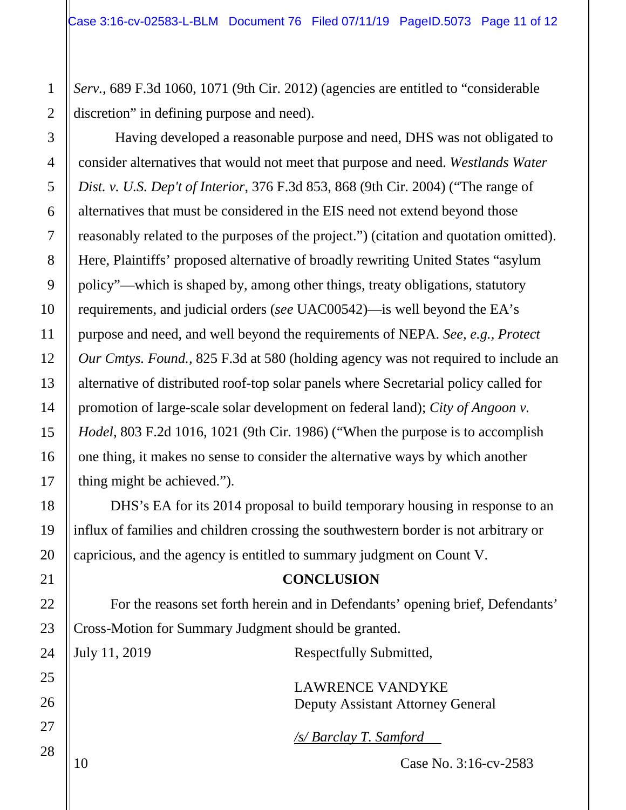*Serv.,* 689 F.3d 1060, 1071 (9th Cir. 2012) (agencies are entitled to "considerable discretion" in defining purpose and need).

Having developed a reasonable purpose and need, DHS was not obligated to consider alternatives that would not meet that purpose and need. *Westlands Water Dist. v. U.S. Dep't of Interior*, 376 F.3d 853, 868 (9th Cir. 2004) ("The range of alternatives that must be considered in the EIS need not extend beyond those reasonably related to the purposes of the project.") (citation and quotation omitted). Here, Plaintiffs' proposed alternative of broadly rewriting United States "asylum policy"—which is shaped by, among other things, treaty obligations, statutory requirements, and judicial orders (*see* UAC00542)—is well beyond the EA's purpose and need, and well beyond the requirements of NEPA. *See, e.g., Protect Our Cmtys. Found.,* 825 F.3d at 580 (holding agency was not required to include an alternative of distributed roof-top solar panels where Secretarial policy called for promotion of large-scale solar development on federal land); *City of Angoon v. Hodel*, 803 F.2d 1016, 1021 (9th Cir. 1986) ("When the purpose is to accomplish one thing, it makes no sense to consider the alternative ways by which another thing might be achieved.").

DHS's EA for its 2014 proposal to build temporary housing in response to an influx of families and children crossing the southwestern border is not arbitrary or capricious, and the agency is entitled to summary judgment on Count V.

#### **CONCLUSION**

For the reasons set forth herein and in Defendants' opening brief, Defendants' Cross-Motion for Summary Judgment should be granted.

July 11, 2019 Respectfully Submitted,

LAWRENCE VANDYKE Deputy Assistant Attorney General

*/s/ Barclay T. Samford*

10 Case No. 3:16-cv-2583